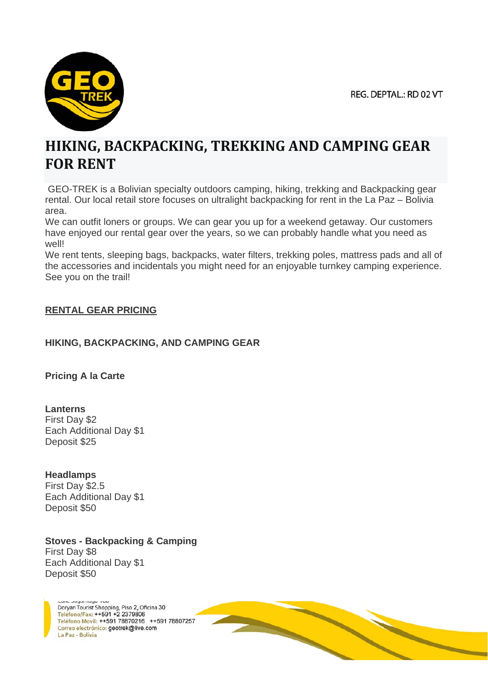

# **HIKING, BACKPACKING, TREKKING AND CAMPING GEAR FOR RENT**

 GEO-TREK is a Bolivian specialty outdoors camping, hiking, trekking and Backpacking gear rental. Our local retail store focuses on ultralight backpacking for rent in the La Paz – Bolivia area.

We can outfit loners or groups. We can gear you up for a weekend getaway. Our customers have enjoyed our rental gear over the years, so we can probably handle what you need as well!

We rent tents, sleeping bags, backpacks, water filters, trekking poles, mattress pads and all of the accessories and incidentals you might need for an enjoyable turnkey camping experience. See you on the trail!

## **RENTAL GEAR PRICING**

## **HIKING, BACKPACKING, AND CAMPING GEAR**

**Pricing A la Carte**

**Lanterns** First Day \$2 Each Additional Day \$1 Deposit \$25

## **Headlamps**

First Day \$2.5 Each Additional Day \$1 Deposit \$50

# **Stoves - Backpacking & Camping**

First Day \$8 Each Additional Day \$1 Deposit \$50

> Doryan Tourist Shopping, Piso 2, Oficina 30 Teléfono/Fax: ++591 +2 2379806 Teléfono Movil: ++591 78870216 ++591 78807257 Correo electrónico: geotrek@live.com La Paz - Bolivia

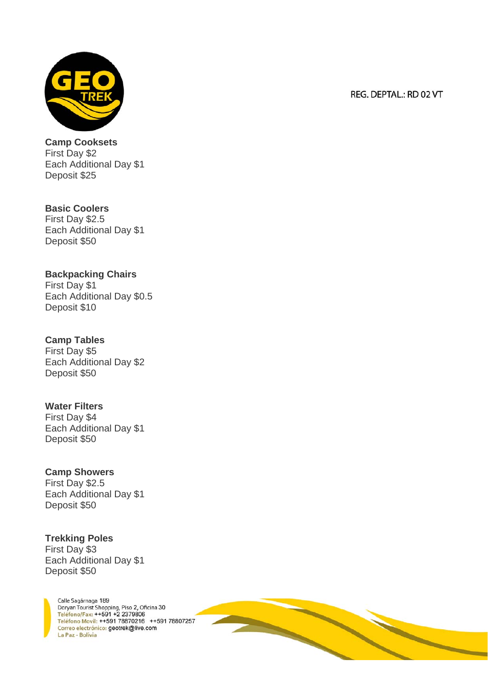

**Camp Cooksets** First Day \$2 Each Additional Day \$1 Deposit \$25

**Basic Coolers** First Day \$2.5 Each Additional Day \$1 Deposit \$50

# **Backpacking Chairs**

First Day \$1 Each Additional Day \$0.5 Deposit \$10

## **Camp Tables**

First Day \$5 Each Additional Day \$2 Deposit \$50

# **Water Filters**

First Day \$4 Each Additional Day \$1 Deposit \$50

## **Camp Showers**

First Day \$2.5 Each Additional Day \$1 Deposit \$50

## **Trekking Poles**

First Day \$3 Each Additional Day \$1 Deposit \$50



#### REG. DEPTAL.: RD 02 VT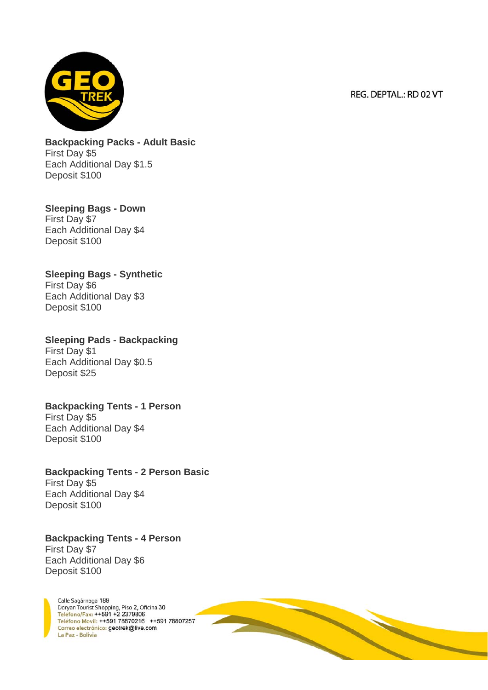

**Backpacking Packs - Adult Basic** First Day \$5 Each Additional Day \$1.5 Deposit \$100

**Sleeping Bags - Down** First Day \$7 Each Additional Day \$4 Deposit \$100

**Sleeping Bags - Synthetic** First Day \$6 Each Additional Day \$3 Deposit \$100

**Sleeping Pads - Backpacking** First Day \$1 Each Additional Day \$0.5 Deposit \$25

**Backpacking Tents - 1 Person** First Day \$5 Each Additional Day \$4 Deposit \$100

**Backpacking Tents - 2 Person Basic** First Day \$5 Each Additional Day \$4 Deposit \$100

**Backpacking Tents - 4 Person** First Day \$7 Each Additional Day \$6 Deposit \$100

Calle Sagárnaga 189 Doryan Tourist Shopping, Piso 2, Oficina 30<br>Teléfono/Fax: ++591 +2 2379806 Teléfono Movil: ++591 78870216 ++591 78807257 Correo electrónico: geotrek@live.com La Paz - Bolivia

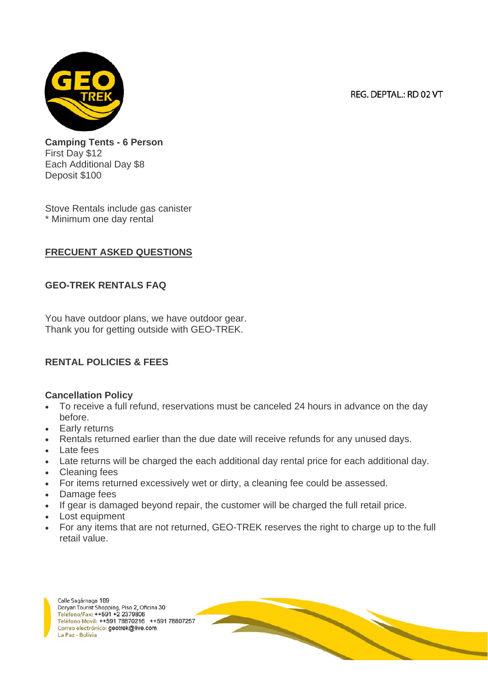**Camping Tents - 6 Person** First Day \$12 Each Additional Day \$8 Deposit \$100

Stove Rentals include gas canister \* Minimum one day rental

#### **FRECUENT ASKED QUESTIONS**

#### **GEO-TREK RENTALS FAQ**

You have outdoor plans, we have outdoor gear. Thank you for getting outside with GEO-TREK.

#### **RENTAL POLICIES & FEES**

#### **Cancellation Policy**

- To receive a full refund, reservations must be canceled 24 hours in advance on the day before.
- Early returns
- Rentals returned earlier than the due date will receive refunds for any unused days.
- Late fees
- Late returns will be charged the each additional day rental price for each additional day.
- Cleaning fees
- For items returned excessively wet or dirty, a cleaning fee could be assessed.
- Damage fees
- If gear is damaged beyond repair, the customer will be charged the full retail price.
- Lost equipment
- For any items that are not returned, GEO-TREK reserves the right to charge up to the full retail value.

Calle Sagárnaga 189 Doryan Tourist Shopping, Piso 2, Oficina 30 Teléfono/Fax: ++591 +2 2379806 Teléfono Movil: ++591 78870216 ++591 78807257 Correo electrónico: geotrek@live.com La Paz - Bolivia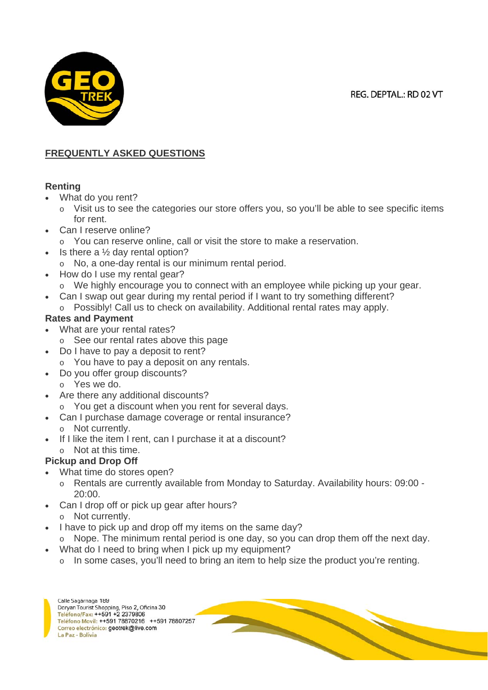

# **FREQUENTLY ASKED QUESTIONS**

#### **Renting**

- What do you rent?
	- o Visit us to see the categories our store offers you, so you'll be able to see specific items for rent.
- Can I reserve online?
	- o You can reserve online, call or visit the store to make a reservation.
- Is there a  $\frac{1}{2}$  day rental option?
	- o No, a one-day rental is our minimum rental period.
- How do I use my rental gear?
	- $\circ$  We highly encourage you to connect with an employee while picking up your gear.
	- Can I swap out gear during my rental period if I want to try something different?
	- $\circ$  Possibly! Call us to check on availability. Additional rental rates may apply.

# **Rates and Payment**

- What are your rental rates?
	- o See our rental rates above this page
- Do I have to pay a deposit to rent?
	- o You have to pay a deposit on any rentals.
	- Do you offer group discounts?
	- o Yes we do.
- Are there any additional discounts?
	- o You get a discount when you rent for several days.
	- Can I purchase damage coverage or rental insurance?
		- o Not currently.
- If I like the item I rent, can I purchase it at a discount?
	- o Not at this time.

# **Pickup and Drop Off**

- What time do stores open?
	- o Rentals are currently available from Monday to Saturday. Availability hours: 09:00 20:00.
- Can I drop off or pick up gear after hours? o Not currently.
- I have to pick up and drop off my items on the same day?
	- $\circ$  Nope. The minimum rental period is one day, so you can drop them off the next day.
- What do I need to bring when I pick up my equipment?
	- o In some cases, you'll need to bring an item to help size the product you're renting.